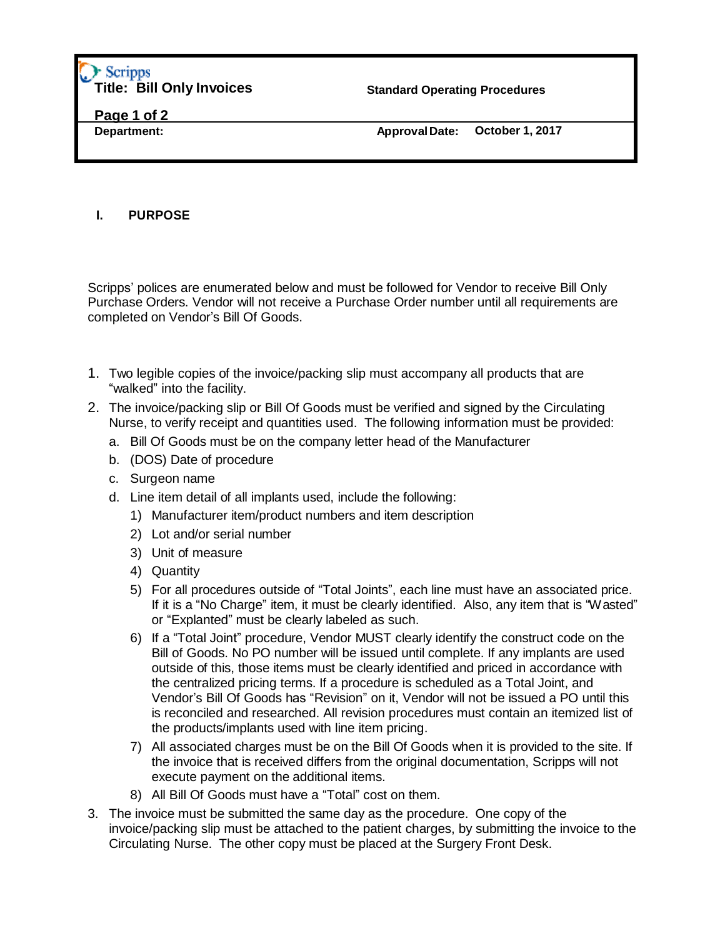## Scripps **Title: Bill Only Invoices**

**Standard Operating Procedures**

**Page 1 of 2**

**Department: Approval Date: October 1, 2017**

## **I. PURPOSE**

Scripps' polices are enumerated below and must be followed for Vendor to receive Bill Only Purchase Orders. Vendor will not receive a Purchase Order number until all requirements are completed on Vendor's Bill Of Goods.

- 1. Two legible copies of the invoice/packing slip must accompany all products that are "walked" into the facility.
- 2. The invoice/packing slip or Bill Of Goods must be verified and signed by the Circulating Nurse, to verify receipt and quantities used. The following information must be provided:
	- a. Bill Of Goods must be on the company letter head of the Manufacturer
	- b. (DOS) Date of procedure
	- c. Surgeon name
	- d. Line item detail of all implants used, include the following:
		- 1) Manufacturer item/product numbers and item description
		- 2) Lot and/or serial number
		- 3) Unit of measure
		- 4) Quantity
		- 5) For all procedures outside of "Total Joints", each line must have an associated price. If it is a "No Charge" item, it must be clearly identified. Also, any item that is "Wasted" or "Explanted" must be clearly labeled as such.
		- 6) If a "Total Joint" procedure, Vendor MUST clearly identify the construct code on the Bill of Goods. No PO number will be issued until complete. If any implants are used outside of this, those items must be clearly identified and priced in accordance with the centralized pricing terms. If a procedure is scheduled as a Total Joint, and Vendor's Bill Of Goods has "Revision" on it, Vendor will not be issued a PO until this is reconciled and researched. All revision procedures must contain an itemized list of the products/implants used with line item pricing.
		- 7) All associated charges must be on the Bill Of Goods when it is provided to the site. If the invoice that is received differs from the original documentation, Scripps will not execute payment on the additional items.
		- 8) All Bill Of Goods must have a "Total" cost on them.
- 3. The invoice must be submitted the same day as the procedure. One copy of the invoice/packing slip must be attached to the patient charges, by submitting the invoice to the Circulating Nurse. The other copy must be placed at the Surgery Front Desk.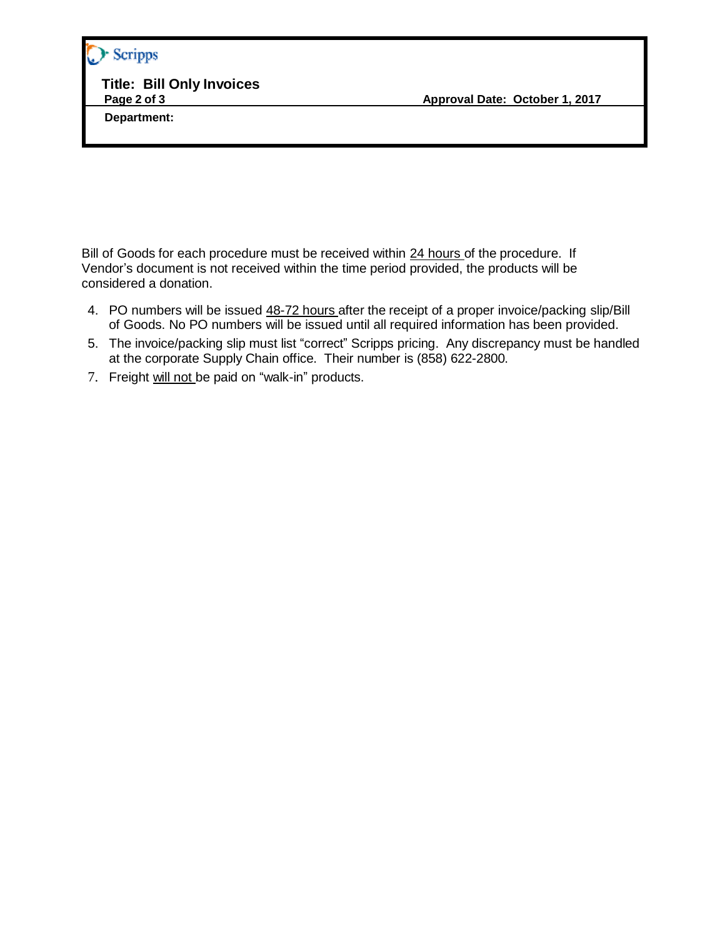## Scripps

**Title: Bill Only Invoices**

 **Department:**

Bill of Goods for each procedure must be received within 24 hours of the procedure. If Vendor's document is not received within the time period provided, the products will be considered a donation.

- 4. PO numbers will be issued 48-72 hours after the receipt of a proper invoice/packing slip/Bill of Goods. No PO numbers will be issued until all required information has been provided.
- 5. The invoice/packing slip must list "correct" Scripps pricing. Any discrepancy must be handled at the corporate Supply Chain office. Their number is (858) 622-2800.
- 7. Freight will not be paid on "walk-in" products.